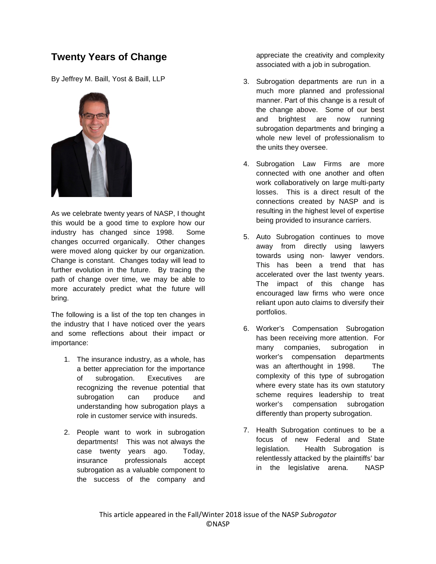## **Twenty Years of Change**

By Jeffrey M. Baill, Yost & Baill, LLP



As we celebrate twenty years of NASP, I thought this would be a good time to explore how our industry has changed since 1998. Some changes occurred organically. Other changes were moved along quicker by our organization. Change is constant. Changes today will lead to further evolution in the future. By tracing the path of change over time, we may be able to more accurately predict what the future will bring.

The following is a list of the top ten changes in the industry that I have noticed over the years and some reflections about their impact or importance:

- 1. The insurance industry, as a whole, has a better appreciation for the importance of subrogation. Executives are recognizing the revenue potential that subrogation can produce and understanding how subrogation plays a role in customer service with insureds.
- 2. People want to work in subrogation departments! This was not always the case twenty years ago. Today, insurance professionals accept subrogation as a valuable component to the success of the company and

appreciate the creativity and complexity associated with a job in subrogation.

- 3. Subrogation departments are run in a much more planned and professional manner. Part of this change is a result of the change above. Some of our best and brightest are now running subrogation departments and bringing a whole new level of professionalism to the units they oversee.
- 4. Subrogation Law Firms are more connected with one another and often work collaboratively on large multi-party losses. This is a direct result of the connections created by NASP and is resulting in the highest level of expertise being provided to insurance carriers.
- 5. Auto Subrogation continues to move away from directly using lawyers towards using non- lawyer vendors. This has been a trend that has accelerated over the last twenty years. The impact of this change has encouraged law firms who were once reliant upon auto claims to diversify their portfolios.
- 6. Worker's Compensation Subrogation has been receiving more attention. For many companies, subrogation in worker's compensation departments was an afterthought in 1998. The complexity of this type of subrogation where every state has its own statutory scheme requires leadership to treat worker's compensation subrogation differently than property subrogation.
- 7. Health Subrogation continues to be a focus of new Federal and State legislation. Health Subrogation is relentlessly attacked by the plaintiffs' bar in the legislative arena. NASP